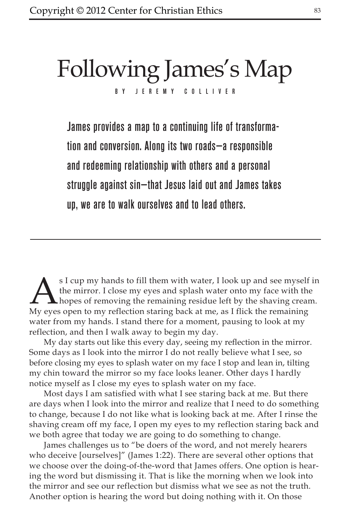# Following James's Map JEREMY COLLIVER

James provides a map to a continuing life of transformation and conversion. Along its two roads—a responsible and redeeming relationship with others and a personal struggle against sin—that Jesus laid out and James takes up, we are to walk ourselves and to lead others.

s I cup my hands to fill them with water, I look up and see myself in the mirror. I close my eyes and splash water onto my face with the hopes of removing the remaining residue left by the shaving cream. My eyes open to my reflection staring back at me, as I flick the remaining water from my hands. I stand there for a moment, pausing to look at my reflection, and then I walk away to begin my day.

My day starts out like this every day, seeing my reflection in the mirror. Some days as I look into the mirror I do not really believe what I see, so before closing my eyes to splash water on my face I stop and lean in, tilting my chin toward the mirror so my face looks leaner. Other days I hardly notice myself as I close my eyes to splash water on my face.

Most days I am satisfied with what I see staring back at me. But there are days when I look into the mirror and realize that I need to do something to change, because I do not like what is looking back at me. After I rinse the shaving cream off my face, I open my eyes to my reflection staring back and we both agree that today we are going to do something to change.

James challenges us to "be doers of the word, and not merely hearers who deceive [ourselves]" (James 1:22). There are several other options that we choose over the doing-of-the-word that James offers. One option is hearing the word but dismissing it. That is like the morning when we look into the mirror and see our reflection but dismiss what we see as not the truth. Another option is hearing the word but doing nothing with it. On those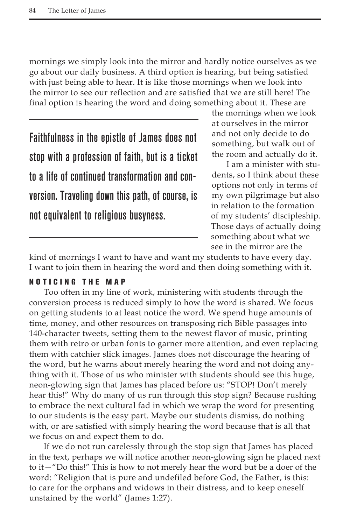mornings we simply look into the mirror and hardly notice ourselves as we go about our daily business. A third option is hearing, but being satisfied with just being able to hear. It is like those mornings when we look into the mirror to see our reflection and are satisfied that we are still here! The final option is hearing the word and doing something about it. These are

Faithfulness in the epistle of James does not stop with a profession of faith, but is a ticket to a life of continued transformation and conversion. Traveling down this path, of course, is not equivalent to religious busyness.

the mornings when we look at ourselves in the mirror and not only decide to do something, but walk out of the room and actually do it.

I am a minister with students, so I think about these options not only in terms of my own pilgrimage but also in relation to the formation of my students' discipleship. Those days of actually doing something about what we see in the mirror are the

kind of mornings I want to have and want my students to have every day. I want to join them in hearing the word and then doing something with it.

### noticing the map

Too often in my line of work, ministering with students through the conversion process is reduced simply to how the word is shared. We focus on getting students to at least notice the word. We spend huge amounts of time, money, and other resources on transposing rich Bible passages into 140-character tweets, setting them to the newest flavor of music, printing them with retro or urban fonts to garner more attention, and even replacing them with catchier slick images. James does not discourage the hearing of the word, but he warns about merely hearing the word and not doing anything with it. Those of us who minister with students should see this huge, neon-glowing sign that James has placed before us: "STOP! Don't merely hear this!" Why do many of us run through this stop sign? Because rushing to embrace the next cultural fad in which we wrap the word for presenting to our students is the easy part. Maybe our students dismiss, do nothing with, or are satisfied with simply hearing the word because that is all that we focus on and expect them to do.

If we do not run carelessly through the stop sign that James has placed in the text, perhaps we will notice another neon-glowing sign he placed next to it—"Do this!" This is how to not merely hear the word but be a doer of the word: "Religion that is pure and undefiled before God, the Father, is this: to care for the orphans and widows in their distress, and to keep oneself unstained by the world" (James 1:27).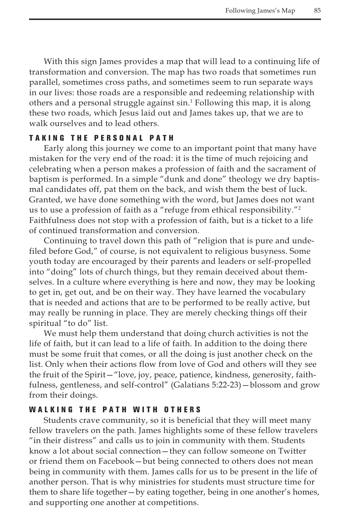With this sign James provides a map that will lead to a continuing life of transformation and conversion. The map has two roads that sometimes run parallel, sometimes cross paths, and sometimes seem to run separate ways in our lives: those roads are a responsible and redeeming relationship with others and a personal struggle against sin.<sup>1</sup> Following this map, it is along these two roads, which Jesus laid out and James takes up, that we are to walk ourselves and to lead others.

## TAKING THE PERSONAL PATH

Early along this journey we come to an important point that many have mistaken for the very end of the road: it is the time of much rejoicing and celebrating when a person makes a profession of faith and the sacrament of baptism is performed. In a simple "dunk and done" theology we dry baptismal candidates off, pat them on the back, and wish them the best of luck. Granted, we have done something with the word, but James does not want us to use a profession of faith as a "refuge from ethical responsibility."2 Faithfulness does not stop with a profession of faith, but is a ticket to a life of continued transformation and conversion.

Continuing to travel down this path of "religion that is pure and undefiled before God," of course, is not equivalent to religious busyness. Some youth today are encouraged by their parents and leaders or self-propelled into "doing" lots of church things, but they remain deceived about themselves. In a culture where everything is here and now, they may be looking to get in, get out, and be on their way. They have learned the vocabulary that is needed and actions that are to be performed to be really active, but may really be running in place. They are merely checking things off their spiritual "to do" list.

We must help them understand that doing church activities is not the life of faith, but it can lead to a life of faith. In addition to the doing there must be some fruit that comes, or all the doing is just another check on the list. Only when their actions flow from love of God and others will they see the fruit of the Spirit—"love, joy, peace, patience, kindness, generosity, faithfulness, gentleness, and self-control" (Galatians 5:22-23)—blossom and grow from their doings.

#### WALKING THE PATH WITH OTHERS

Students crave community, so it is beneficial that they will meet many fellow travelers on the path. James highlights some of these fellow travelers "in their distress" and calls us to join in community with them. Students know a lot about social connection—they can follow someone on Twitter or friend them on Facebook—but being connected to others does not mean being in community with them. James calls for us to be present in the life of another person. That is why ministries for students must structure time for them to share life together—by eating together, being in one another's homes, and supporting one another at competitions.